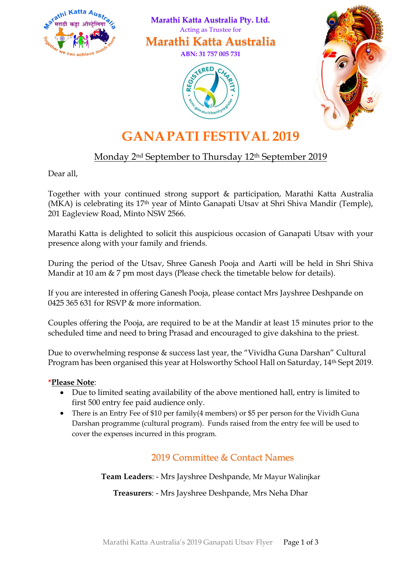

 **Marathi Katta Australia Pty. Ltd.** Acting as Trustee for

**Marathi Katta Australia**

**ABN: 31 757 005 731**





# **GANAPATI FESTIVAL 2019**

# Monday 2<sup>nd</sup> September to Thursday 12<sup>th</sup> September 2019

Dear all,

Together with your continued strong support & participation, Marathi Katta Australia (MKA) is celebrating its 17th year of Minto Ganapati Utsav at Shri Shiva Mandir (Temple), 201 Eagleview Road, Minto NSW 2566.

Marathi Katta is delighted to solicit this auspicious occasion of Ganapati Utsav with your presence along with your family and friends.

During the period of the Utsav, Shree Ganesh Pooja and Aarti will be held in Shri Shiva Mandir at 10 am & 7 pm most days (Please check the timetable below for details).

If you are interested in offering Ganesh Pooja, please contact Mrs Jayshree Deshpande on 0425 365 631 for RSVP & more information.

Couples offering the Pooja, are required to be at the Mandir at least 15 minutes prior to the scheduled time and need to bring Prasad and encouraged to give dakshina to the priest.

Due to overwhelming response & success last year, the "Vividha Guna Darshan" Cultural Program has been organised this year at Holsworthy School Hall on Saturday, 14th Sept 2019.

#### **\*Please Note**:

- Due to limited seating availability of the above mentioned hall, entry is limited to first 500 entry fee paid audience only.
- There is an Entry Fee of \$10 per family(4 members) or \$5 per person for the Vividh Guna Darshan programme (cultural program). Funds raised from the entry fee will be used to cover the expenses incurred in this program.

### 2019 Committee & Contact Names

**Team Leaders**: - Mrs Jayshree Deshpande, Mr Mayur Walinjkar

**Treasurers**: - Mrs Jayshree Deshpande, Mrs Neha Dhar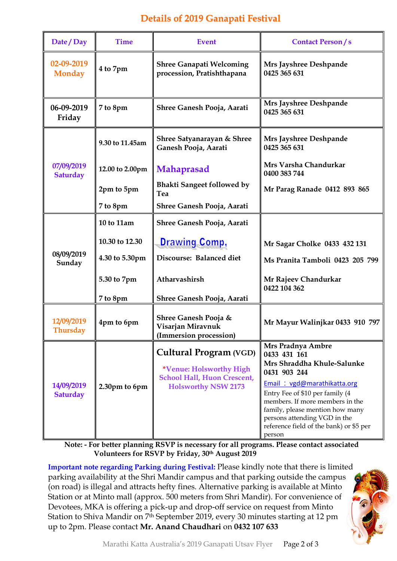## **Details of 2019 Ganapati Festival**

| Date / Day                    | <b>Time</b>     | <b>Event</b>                                                                                                                 | <b>Contact Person/s</b>                                                                                                                                                                                                                                                                                      |
|-------------------------------|-----------------|------------------------------------------------------------------------------------------------------------------------------|--------------------------------------------------------------------------------------------------------------------------------------------------------------------------------------------------------------------------------------------------------------------------------------------------------------|
| 02-09-2019<br><b>Monday</b>   | 4 to 7pm        | <b>Shree Ganapati Welcoming</b><br>procession, Pratishthapana                                                                | Mrs Jayshree Deshpande<br>0425 365 631                                                                                                                                                                                                                                                                       |
| 06-09-2019<br>Friday          | 7 to 8pm        | Shree Ganesh Pooja, Aarati                                                                                                   | Mrs Jayshree Deshpande<br>0425 365 631                                                                                                                                                                                                                                                                       |
| 07/09/2019<br><b>Saturday</b> | 9.30 to 11.45am | Shree Satyanarayan & Shree<br>Ganesh Pooja, Aarati                                                                           | Mrs Jayshree Deshpande<br>0425 365 631                                                                                                                                                                                                                                                                       |
|                               | 12.00 to 2.00pm | <b>Mahaprasad</b>                                                                                                            | Mrs Varsha Chandurkar<br>0400 383 744                                                                                                                                                                                                                                                                        |
|                               | 2pm to 5pm      | <b>Bhakti Sangeet followed by</b><br>Tea                                                                                     | Mr Parag Ranade 0412 893 865                                                                                                                                                                                                                                                                                 |
|                               | 7 to 8pm        | Shree Ganesh Pooja, Aarati                                                                                                   |                                                                                                                                                                                                                                                                                                              |
| 08/09/2019<br>Sunday          | 10 to 11am      | Shree Ganesh Pooja, Aarati                                                                                                   |                                                                                                                                                                                                                                                                                                              |
|                               | 10.30 to 12.30  | <b>Drawing Comp,</b>                                                                                                         | Mr Sagar Cholke 0433 432 131                                                                                                                                                                                                                                                                                 |
|                               | 4.30 to 5.30pm  | Discourse: Balanced diet                                                                                                     | Ms Pranita Tamboli 0423 205 799                                                                                                                                                                                                                                                                              |
|                               | 5.30 to 7pm     | Atharvashirsh                                                                                                                | Mr Rajeev Chandurkar<br>0422 104 362                                                                                                                                                                                                                                                                         |
|                               | 7 to 8pm        | Shree Ganesh Pooja, Aarati                                                                                                   |                                                                                                                                                                                                                                                                                                              |
| 12/09/2019<br><b>Thursday</b> | 4pm to 6pm      | Shree Ganesh Pooja &<br>Visarjan Miravnuk<br>(Immersion procession)                                                          | Mr Mayur Walinjkar 0433 910 797                                                                                                                                                                                                                                                                              |
| 14/09/2019<br><b>Saturday</b> | 2.30pm to 6pm   | <b>Cultural Program (VGD)</b><br>*Venue: Holsworthy High<br><b>School Hall, Huon Crescent,</b><br><b>Holsworthy NSW 2173</b> | Mrs Pradnya Ambre<br>0433 431 161<br>Mrs Shraddha Khule-Salunke<br>0431 903 244<br>Email: vgd@marathikatta.org<br>Entry Fee of \$10 per family (4<br>members. If more members in the<br>family, please mention how many<br>persons attending VGD in the<br>reference field of the bank) or \$5 per<br>person |

**Note: - For better planning RSVP is necessary for all programs. Please contact associated Volunteers for RSVP by Friday, 30th August 2019**

**Important note regarding Parking during Festival:** Please kindly note that there is limited parking availability at the Shri Mandir campus and that parking outside the campus (on road) is illegal and attracts hefty fines. Alternative parking is available at Minto Station or at Minto mall (approx. 500 meters from Shri Mandir). For convenience of Devotees, MKA is offering a pick-up and drop-off service on request from Minto Station to Shiva Mandir on 7th September 2019, every 30 minutes starting at 12 pm up to 2pm. Please contact **Mr. Anand Chaudhari** on **0432 107 633**